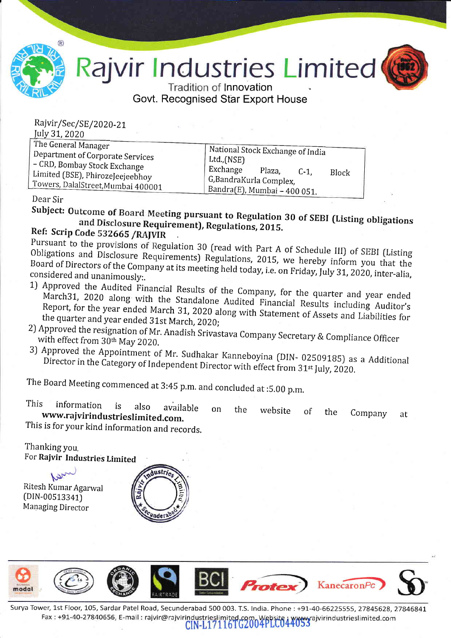**Rajvir Industries Limited** 



**Tradition of Innovation** Govt. Recognised Star Export House

Rajvir/Sec/SE/2020-21 July 31, 2020

| The General Manager<br>Department of Corporate Services                                                | National Stock Exchange of India<br>Ltd.,(NSE)                                                             |  |  |  |  |
|--------------------------------------------------------------------------------------------------------|------------------------------------------------------------------------------------------------------------|--|--|--|--|
| - CRD, Bombay Stock Exchange<br>Limited (BSE), PhirozeJeejeebhoy<br>Towers, DalalStreet, Mumbai 400001 | Exchange<br>Plaza,<br>$C-1$ .<br>Block<br>G, Bandra Kurla Complex,<br>$\beta$ Bandra(E), Mumbai - 400 051. |  |  |  |  |
|                                                                                                        |                                                                                                            |  |  |  |  |

Dear Sir

Subject: Outcome of Board Meeting pursuant to Regulation 30 of SEBI (Listing obligations and Disclosure Requirement), Regulations, 2015.

# Ref: Scrip Code 532665 / RAJVIR

Pursuant to the provisions of Regulation 30 (read with Part A of Schedule III) of SEBI (Listing Obligations and Disclosure Requirements) Regulations, 2015, we hereby inform you that the Board of Directors of the Company at its meeting held today, i.e. on Friday, July 31, 2020, inter-alia, considered and unanimously:.

- 1) Approved the Audited Financial Results of the Company, for the quarter and year ended March31, 2020 along with the Standalone Audited Financial Results including Auditor's Report, for the year ended March 31, 2020 along with Statement of Assets and Liabilities for the quarter and year ended 31st March, 2020;
- 2) Approved the resignation of Mr. Anadish Srivastava Company Secretary & Compliance Officer with effect from 30th May 2020.
- 3) Approved the Appointment of Mr. Sudhakar Kanneboyina (DIN- 02509185) as a Additional Director in the Category of Independent Director with effect from 31<sup>st</sup> July, 2020.

The Board Meeting commenced at 3:45 p.m. and concluded at :5.00 p.m.

This information is also available on the website of the www.rajvirindustrieslimited.com. Company at

This is for your kind information and records.

Thanking you. For Rajvir Industries Limited

Ritesh Kumar Agarwal  $(DIN-00513341)$ Managing Director





Surya Tower, 1st Floor, 105, Sardar Patel Road, Secunderabad 500 003. T.S. India. Phone: +91-40-66225555, 27845628, 27846841 Fax: +91-40-27840656, E-mail: rajvir@rajvirindustrieslimited.com<br> $\frac{\text{CN-L17116} \cdot \text{G2004}\cdot \text{LC044053}}{\text{CN-L17116} \cdot \text{G2004}\cdot \text{LC044053}}$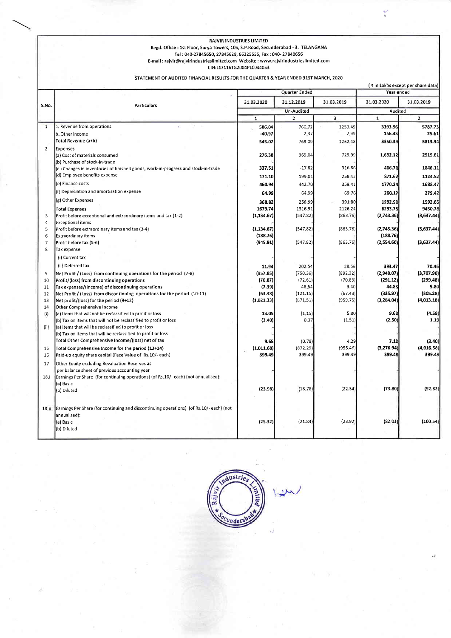RAJVIR INDUSTRIES LIMITED

#### Regd. Office: 1st Floor, Surya Towers, 105, S.P.Road, Secunderabad - 3. TELANGANA

Tel : 040-27845650, 27845628, 66225555, Fax : 040- 27840656

E-mail : raivir@rajvirindustrieslimited.com website : www.rajvirindustrieslimited.com

CIN:117116TG2004P1C044053

#### STATEMENT OF AUDITED FINANCIAL RESULTS FOR THE QUARTER & YEAR ENDED 31ST MARCH, 202O

|                     |                                                                                                                           | Quarter Ended   |                   |                | (₹ in Lakhs except per share data)<br>Year ended |                  |
|---------------------|---------------------------------------------------------------------------------------------------------------------------|-----------------|-------------------|----------------|--------------------------------------------------|------------------|
| S.No.               | <b>Particulars</b>                                                                                                        | 31.03.2020      | 31.12.2019        | 31.03.2019     | 31.03.2020                                       | 31.03.2019       |
|                     |                                                                                                                           |                 | <b>Un-Audited</b> |                | Audited                                          |                  |
|                     |                                                                                                                           | $\mathbf{1}$    | $\overline{2}$    | 3              | $\mathbf{1}$                                     | $\overline{2}$   |
| $\overline{1}$      | a. Revenue from operations                                                                                                | 586.04          | 766.72            | 1259.49        | 3393.96                                          | 5787.73          |
|                     | b. Other Income                                                                                                           | $-40.97$        | 2,37              | 2.99           | 156.43                                           | 25.61            |
|                     | Total Revenue (a+b)                                                                                                       | 545.07          | 769.09            | 1262,48        | 3550.39                                          | 5813.34          |
| $\overline{2}$      | Expenses                                                                                                                  |                 |                   |                |                                                  |                  |
|                     | (a) Cost of materials consumed                                                                                            | 276.38          | 369.04            | 729,99         | 1,692.12                                         | 2919.6           |
|                     | (b) Purchase of stock-in-trade                                                                                            |                 |                   |                |                                                  |                  |
|                     | (c) Changes in inventories of finished goods, work-in-progress and stock-in-trade                                         | 337.51          | $-17.82$          | 316.86         | 406.70                                           | 1846.13          |
|                     | (d) Employee benefits expense                                                                                             | 171.10          | 199.01            | 258.42         | 871.62                                           | 1124.52          |
|                     | (e) Finance costs                                                                                                         | 460.94          | 442.70            | 359.41         | 1770.24                                          | 1688.47          |
|                     | (f) Depreciation and amortisation expense                                                                                 | 64.99           | 64.99             | 69.76          | 260,17                                           | 279.42           |
|                     | (g) Other Expenses                                                                                                        | 368.82          | 258.99            | 391.80         | 1292.90                                          | 1592.6           |
|                     | <b>Total Expenses</b>                                                                                                     | 1679.74         | 1316.91           | 2126.24        | 6293.75                                          | 9450.78          |
| 3<br>$\overline{4}$ | Profit before exceptional and extraordinary items and tax (1-2)<br><b>Exceptional items</b>                               | (1, 134.67)     | (547.82)          | (863.76)       | (2,743.36)                                       | (3,637.44)       |
| 5                   | Profit before extraordinary items and tax (3-4)                                                                           | (1, 134.67)     | (547.82)          | (863.76)       | (2,743.36)                                       | (3,637.44)       |
| 6                   | <b>Extraordinary items</b>                                                                                                | (188.76)        |                   |                | (188.76)                                         |                  |
| $\overline{7}$      | Profit before tax (5-6)                                                                                                   | (945.91)        | (547.82)          | (863.76)       | (2,554.60)                                       | (3,637.44)       |
| 8                   | Tax expense                                                                                                               |                 |                   |                |                                                  |                  |
|                     | (i) Current tax                                                                                                           |                 |                   |                |                                                  |                  |
|                     | (ii) Deferred tax                                                                                                         | 11.94           | 202.54            | 28.56          | 393.47                                           | 70.46            |
| 9                   | Net Profit / (Loss) from continuing operations for the period (7-8)                                                       | (957.85)        | (750.36)          | (892.32)       | (2,948.07)                                       | (3,707.90)       |
| 10                  | Profit/(loss) from discontinuing operations                                                                               | (70.87)         | (72.61)           | (70.83)        | (291.12)                                         | (299.48)         |
| 11                  | Tax expenses/(income) of discontinuing operations                                                                         | (7.39)          | 48.54             | 3,40           | 44.85                                            | 5.8 <sub>0</sub> |
| 12                  | Net Profit / (Loss) from discontinuing operations for the period (10-11)                                                  | (63.48)         | (121.15)          | (67.43)        | (335.97)                                         | (305.28)         |
| 13                  | Net profit/(loss) for the period (9+12)                                                                                   | (1,021.33)      | (871.51)          | (959.75)       | (3, 284.04)                                      | (4,013.18)       |
| 14                  | Other Comprehensive Income                                                                                                |                 |                   |                |                                                  |                  |
| (i)                 | (a) Items that will not be reclassified to profit or loss                                                                 | 13.05<br>(3.40) | (1.15)<br>0.37    | 5.80<br>(1.51) | 9.60<br>(2.50)                                   | (4.59)<br>1.19   |
| (ii)                | (b) Tax on items that will not be reclassified to profit or loss<br>(a) Items that will be reclassified to profit or loss |                 |                   |                |                                                  |                  |
|                     | (b) Tax on items that will be reclassified to profit or loss                                                              |                 |                   |                |                                                  |                  |
|                     | Total Other Comprehensive Income/(loss) net of tax                                                                        | 9.65            | (0.78)            | 4.29           | 7.10                                             | (3.40)           |
| 15                  | Total Comprehensive Income for the period (13+14)                                                                         | (1,011.68)      | (872.29)          | (955.46)       | (3, 276.94)                                      | (4,016.58)       |
| 16                  | Paid-up equity share capital (Face Value of Rs.10/- each)                                                                 | 399.49          | 399.49            | 399.49         | 399.49                                           | 399.49           |
| 17                  | Other Equity excluding Revaluation Reserves as                                                                            |                 |                   |                |                                                  |                  |
|                     | per balance sheet of previous accounting year                                                                             |                 |                   |                |                                                  |                  |
| 18.1                | Earnings Per Share (for continuing operations) (of Rs.10/- each) (not annualised):                                        |                 |                   |                |                                                  |                  |
|                     | (a) Basic                                                                                                                 |                 |                   |                |                                                  |                  |
|                     | (b) Diluted                                                                                                               | (23.98)         | (18.78)           | (22.34)        | (73.80)                                          | (92.82)          |
|                     |                                                                                                                           |                 |                   |                |                                                  |                  |
| 18.11               | Earnings Per Share (for continuing and discontinuing operations) (of Rs.10/- each) (not                                   |                 |                   |                |                                                  |                  |
|                     | annualised):                                                                                                              |                 |                   |                |                                                  |                  |
|                     | (a) Basic                                                                                                                 | (25.32)         | (21.84)           | (23.92)        | (82.03)                                          | (100.54)         |
|                     | (b) Diluted                                                                                                               |                 |                   |                |                                                  |                  |
|                     |                                                                                                                           |                 |                   |                |                                                  |                  |

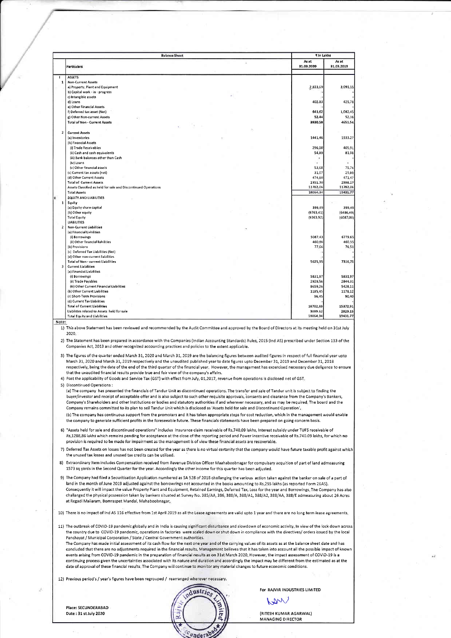| Particulars<br><b>ASSETS</b><br><b>Non-Current Assets</b><br>a) Property, Plant and Equipment<br>b) Capital work - in - progress<br>c) Intangible assets<br>d) Loans<br>e) Other Financial Assets<br>f) Deferred tax asset (Net)<br>g) Other Non-current Assets<br>Total of Non - Current Assets<br><b>Current Assets</b><br>(a) Inventories<br>(b) Financial Assets<br>(i) Trade Receivables<br>(ii) Cash and cash equivalents                                                                                                                                                                                                                                                                                                                                                                                                                                                                                                                                                                                                                                                                                                                                                                                                                                                                                                                                                                                                                                                                                                                                                                                                                                                           |                               | As at<br>31.03.2020 | As at<br>31,03,2019 |
|-------------------------------------------------------------------------------------------------------------------------------------------------------------------------------------------------------------------------------------------------------------------------------------------------------------------------------------------------------------------------------------------------------------------------------------------------------------------------------------------------------------------------------------------------------------------------------------------------------------------------------------------------------------------------------------------------------------------------------------------------------------------------------------------------------------------------------------------------------------------------------------------------------------------------------------------------------------------------------------------------------------------------------------------------------------------------------------------------------------------------------------------------------------------------------------------------------------------------------------------------------------------------------------------------------------------------------------------------------------------------------------------------------------------------------------------------------------------------------------------------------------------------------------------------------------------------------------------------------------------------------------------------------------------------------------------|-------------------------------|---------------------|---------------------|
|                                                                                                                                                                                                                                                                                                                                                                                                                                                                                                                                                                                                                                                                                                                                                                                                                                                                                                                                                                                                                                                                                                                                                                                                                                                                                                                                                                                                                                                                                                                                                                                                                                                                                           |                               |                     |                     |
|                                                                                                                                                                                                                                                                                                                                                                                                                                                                                                                                                                                                                                                                                                                                                                                                                                                                                                                                                                                                                                                                                                                                                                                                                                                                                                                                                                                                                                                                                                                                                                                                                                                                                           |                               |                     |                     |
|                                                                                                                                                                                                                                                                                                                                                                                                                                                                                                                                                                                                                                                                                                                                                                                                                                                                                                                                                                                                                                                                                                                                                                                                                                                                                                                                                                                                                                                                                                                                                                                                                                                                                           |                               |                     |                     |
|                                                                                                                                                                                                                                                                                                                                                                                                                                                                                                                                                                                                                                                                                                                                                                                                                                                                                                                                                                                                                                                                                                                                                                                                                                                                                                                                                                                                                                                                                                                                                                                                                                                                                           |                               | 2,833.69            | 3,091.15            |
|                                                                                                                                                                                                                                                                                                                                                                                                                                                                                                                                                                                                                                                                                                                                                                                                                                                                                                                                                                                                                                                                                                                                                                                                                                                                                                                                                                                                                                                                                                                                                                                                                                                                                           |                               |                     |                     |
|                                                                                                                                                                                                                                                                                                                                                                                                                                                                                                                                                                                                                                                                                                                                                                                                                                                                                                                                                                                                                                                                                                                                                                                                                                                                                                                                                                                                                                                                                                                                                                                                                                                                                           |                               | 402.83              | 425.78              |
|                                                                                                                                                                                                                                                                                                                                                                                                                                                                                                                                                                                                                                                                                                                                                                                                                                                                                                                                                                                                                                                                                                                                                                                                                                                                                                                                                                                                                                                                                                                                                                                                                                                                                           |                               |                     | 1,082,45            |
|                                                                                                                                                                                                                                                                                                                                                                                                                                                                                                                                                                                                                                                                                                                                                                                                                                                                                                                                                                                                                                                                                                                                                                                                                                                                                                                                                                                                                                                                                                                                                                                                                                                                                           |                               | 641,62<br>52.44     | 52.16               |
|                                                                                                                                                                                                                                                                                                                                                                                                                                                                                                                                                                                                                                                                                                                                                                                                                                                                                                                                                                                                                                                                                                                                                                                                                                                                                                                                                                                                                                                                                                                                                                                                                                                                                           |                               | 3930.58             | 4651.54             |
|                                                                                                                                                                                                                                                                                                                                                                                                                                                                                                                                                                                                                                                                                                                                                                                                                                                                                                                                                                                                                                                                                                                                                                                                                                                                                                                                                                                                                                                                                                                                                                                                                                                                                           |                               |                     |                     |
|                                                                                                                                                                                                                                                                                                                                                                                                                                                                                                                                                                                                                                                                                                                                                                                                                                                                                                                                                                                                                                                                                                                                                                                                                                                                                                                                                                                                                                                                                                                                                                                                                                                                                           |                               |                     | 1933.27             |
|                                                                                                                                                                                                                                                                                                                                                                                                                                                                                                                                                                                                                                                                                                                                                                                                                                                                                                                                                                                                                                                                                                                                                                                                                                                                                                                                                                                                                                                                                                                                                                                                                                                                                           |                               | 1441,46             |                     |
|                                                                                                                                                                                                                                                                                                                                                                                                                                                                                                                                                                                                                                                                                                                                                                                                                                                                                                                                                                                                                                                                                                                                                                                                                                                                                                                                                                                                                                                                                                                                                                                                                                                                                           |                               | 296,00              | 405.91              |
|                                                                                                                                                                                                                                                                                                                                                                                                                                                                                                                                                                                                                                                                                                                                                                                                                                                                                                                                                                                                                                                                                                                                                                                                                                                                                                                                                                                                                                                                                                                                                                                                                                                                                           |                               | 54,89               | 81.98               |
| (iii) Bank balances other than Cash<br>(iv) Loans                                                                                                                                                                                                                                                                                                                                                                                                                                                                                                                                                                                                                                                                                                                                                                                                                                                                                                                                                                                                                                                                                                                                                                                                                                                                                                                                                                                                                                                                                                                                                                                                                                         |                               |                     |                     |
| (v) Other financial assets                                                                                                                                                                                                                                                                                                                                                                                                                                                                                                                                                                                                                                                                                                                                                                                                                                                                                                                                                                                                                                                                                                                                                                                                                                                                                                                                                                                                                                                                                                                                                                                                                                                                |                               | 53.68               | 75.74               |
| (c) Current tax assets (net)                                                                                                                                                                                                                                                                                                                                                                                                                                                                                                                                                                                                                                                                                                                                                                                                                                                                                                                                                                                                                                                                                                                                                                                                                                                                                                                                                                                                                                                                                                                                                                                                                                                              |                               | 31.07               | 29.80               |
| (d) Other Current Assets<br><b>Total of Current Assets</b>                                                                                                                                                                                                                                                                                                                                                                                                                                                                                                                                                                                                                                                                                                                                                                                                                                                                                                                                                                                                                                                                                                                                                                                                                                                                                                                                                                                                                                                                                                                                                                                                                                |                               | 474,60<br>2351.70   | 471.47<br>2998.17   |
| Assets Classified as held for sale and Discontinued Operations                                                                                                                                                                                                                                                                                                                                                                                                                                                                                                                                                                                                                                                                                                                                                                                                                                                                                                                                                                                                                                                                                                                                                                                                                                                                                                                                                                                                                                                                                                                                                                                                                            |                               | 11782,06            | 11782.06            |
| <b>Total Assets</b>                                                                                                                                                                                                                                                                                                                                                                                                                                                                                                                                                                                                                                                                                                                                                                                                                                                                                                                                                                                                                                                                                                                                                                                                                                                                                                                                                                                                                                                                                                                                                                                                                                                                       |                               | 18064.34            | 19431.77            |
| <b>EQUITY AND LIABILITIES</b>                                                                                                                                                                                                                                                                                                                                                                                                                                                                                                                                                                                                                                                                                                                                                                                                                                                                                                                                                                                                                                                                                                                                                                                                                                                                                                                                                                                                                                                                                                                                                                                                                                                             |                               |                     |                     |
| Equity                                                                                                                                                                                                                                                                                                                                                                                                                                                                                                                                                                                                                                                                                                                                                                                                                                                                                                                                                                                                                                                                                                                                                                                                                                                                                                                                                                                                                                                                                                                                                                                                                                                                                    |                               |                     |                     |
| (a) Equity share capital<br>(b) Other equity                                                                                                                                                                                                                                                                                                                                                                                                                                                                                                                                                                                                                                                                                                                                                                                                                                                                                                                                                                                                                                                                                                                                                                                                                                                                                                                                                                                                                                                                                                                                                                                                                                              |                               | 399.49<br>(9763.41) | 399,49<br>(6486.49) |
| <b>Total Equity</b>                                                                                                                                                                                                                                                                                                                                                                                                                                                                                                                                                                                                                                                                                                                                                                                                                                                                                                                                                                                                                                                                                                                                                                                                                                                                                                                                                                                                                                                                                                                                                                                                                                                                       |                               | (9363.92)           | (6087,00)           |
| <b>LIABILITIES</b>                                                                                                                                                                                                                                                                                                                                                                                                                                                                                                                                                                                                                                                                                                                                                                                                                                                                                                                                                                                                                                                                                                                                                                                                                                                                                                                                                                                                                                                                                                                                                                                                                                                                        |                               |                     |                     |
| <b>Non-Current Liabilities</b><br>(a) Financial Liabilities                                                                                                                                                                                                                                                                                                                                                                                                                                                                                                                                                                                                                                                                                                                                                                                                                                                                                                                                                                                                                                                                                                                                                                                                                                                                                                                                                                                                                                                                                                                                                                                                                               |                               |                     |                     |
| (i) Borrowings                                                                                                                                                                                                                                                                                                                                                                                                                                                                                                                                                                                                                                                                                                                                                                                                                                                                                                                                                                                                                                                                                                                                                                                                                                                                                                                                                                                                                                                                                                                                                                                                                                                                            |                               | 5087.43             | 6779.65             |
| (ii) Other financial liabilities                                                                                                                                                                                                                                                                                                                                                                                                                                                                                                                                                                                                                                                                                                                                                                                                                                                                                                                                                                                                                                                                                                                                                                                                                                                                                                                                                                                                                                                                                                                                                                                                                                                          |                               | 460.86              | 460,55              |
| (b) Provisions                                                                                                                                                                                                                                                                                                                                                                                                                                                                                                                                                                                                                                                                                                                                                                                                                                                                                                                                                                                                                                                                                                                                                                                                                                                                                                                                                                                                                                                                                                                                                                                                                                                                            |                               | 77.66               |                     |
| (c) Deferred Tax Liabilities (Net)<br>(d) Other non-current liabilities                                                                                                                                                                                                                                                                                                                                                                                                                                                                                                                                                                                                                                                                                                                                                                                                                                                                                                                                                                                                                                                                                                                                                                                                                                                                                                                                                                                                                                                                                                                                                                                                                   |                               |                     |                     |
| Total of Non - current Liabilities                                                                                                                                                                                                                                                                                                                                                                                                                                                                                                                                                                                                                                                                                                                                                                                                                                                                                                                                                                                                                                                                                                                                                                                                                                                                                                                                                                                                                                                                                                                                                                                                                                                        |                               | 5625,95             | 7316,71             |
| <b>Current Liabilities</b>                                                                                                                                                                                                                                                                                                                                                                                                                                                                                                                                                                                                                                                                                                                                                                                                                                                                                                                                                                                                                                                                                                                                                                                                                                                                                                                                                                                                                                                                                                                                                                                                                                                                |                               |                     |                     |
| (a) Financial Liabilities                                                                                                                                                                                                                                                                                                                                                                                                                                                                                                                                                                                                                                                                                                                                                                                                                                                                                                                                                                                                                                                                                                                                                                                                                                                                                                                                                                                                                                                                                                                                                                                                                                                                 |                               |                     |                     |
| (i) Borrowings<br>(ii) Trade Payables                                                                                                                                                                                                                                                                                                                                                                                                                                                                                                                                                                                                                                                                                                                                                                                                                                                                                                                                                                                                                                                                                                                                                                                                                                                                                                                                                                                                                                                                                                                                                                                                                                                     |                               | 5831,97<br>2929.56  | 5831.97<br>2844.31  |
| (iii) Other Current Financial Liabilities                                                                                                                                                                                                                                                                                                                                                                                                                                                                                                                                                                                                                                                                                                                                                                                                                                                                                                                                                                                                                                                                                                                                                                                                                                                                                                                                                                                                                                                                                                                                                                                                                                                 |                               | 8659.26             | 5428.11             |
| (b) Other Current Liabilities                                                                                                                                                                                                                                                                                                                                                                                                                                                                                                                                                                                                                                                                                                                                                                                                                                                                                                                                                                                                                                                                                                                                                                                                                                                                                                                                                                                                                                                                                                                                                                                                                                                             |                               | 1185.45             | 1178.12             |
| (c) Short-Term Provisions                                                                                                                                                                                                                                                                                                                                                                                                                                                                                                                                                                                                                                                                                                                                                                                                                                                                                                                                                                                                                                                                                                                                                                                                                                                                                                                                                                                                                                                                                                                                                                                                                                                                 |                               | 96.45               | 90,40               |
| (d) Current Tax Liabilities<br><b>Total of Current Liabilities</b>                                                                                                                                                                                                                                                                                                                                                                                                                                                                                                                                                                                                                                                                                                                                                                                                                                                                                                                                                                                                                                                                                                                                                                                                                                                                                                                                                                                                                                                                                                                                                                                                                        |                               | 18702.69            | 15372,91            |
| Liabilities related to Assets held for sale                                                                                                                                                                                                                                                                                                                                                                                                                                                                                                                                                                                                                                                                                                                                                                                                                                                                                                                                                                                                                                                                                                                                                                                                                                                                                                                                                                                                                                                                                                                                                                                                                                               |                               | 3099.62             | 2829.15             |
| <b>Total Equity and Liabilities</b>                                                                                                                                                                                                                                                                                                                                                                                                                                                                                                                                                                                                                                                                                                                                                                                                                                                                                                                                                                                                                                                                                                                                                                                                                                                                                                                                                                                                                                                                                                                                                                                                                                                       |                               | 18064.34            | 19431.77            |
| 2020.                                                                                                                                                                                                                                                                                                                                                                                                                                                                                                                                                                                                                                                                                                                                                                                                                                                                                                                                                                                                                                                                                                                                                                                                                                                                                                                                                                                                                                                                                                                                                                                                                                                                                     |                               |                     |                     |
| 2) The Statement has been prepared in accordance with the Companies (Indian Accounting Standards) Rules, 2015 (Ind AS) prescribed under Section 133 of the<br>Companies Act, 2013 and other recognized accounting practices and policies to the extent applicable.                                                                                                                                                                                                                                                                                                                                                                                                                                                                                                                                                                                                                                                                                                                                                                                                                                                                                                                                                                                                                                                                                                                                                                                                                                                                                                                                                                                                                        |                               |                     |                     |
| 3) The figures of the quarter ended March 31, 2020 and March 31, 2019 are the balancing figures between audited figures in respect of full financial year upto<br>March 31, 2020 and March 31, 2019 respectively and the unaudited published year to date figures upto December 31, 2019 and December 31, 2018<br>respectively, being the date of the end of the third quarter of the financial year. However, the management has excercised necessary due deligence to ensure<br>that the unaudited financial results provide true and fair view of the company's affairs.<br>4) Post the applicability of Goods and Service Tax (GST) with effect from July, 01,2017, revenue from operations is disclosed net of GST.<br>5)<br>Discontinued Operations:<br>(a) The company has presented the financials of Tandur Unit as discontinued operations. The transfer and sale of Tandur unit is subject to finding the<br>buyer/investor and receipt of acceptable offer and is also subject to such other requisite approvals, consents and clearance from the Company's Bankers,<br>Company's Shareholders and other Institutions or bodies and statutory authorities if and wherever necessary, and as may be required. The board and the<br>Company remains committed to its plan to sell Tandur Unit which is disclosed as 'Assets held for sale and Discontinued Operation',<br>(b) The company has continuous support from the promoters and it has taken appropriate steps for cost reduction, which in the management would enable<br>the company to generate sufficient profits in the foreseeable future. These financials statements have been prepared on going concern basis. |                               |                     |                     |
| 6) "Assets held for sale and discontinued operations" includes Insurance claim receivable of Rs 740.09 lakhs, Interest subsidy under TUFS receivable of<br>Rs 1288.86 lakhs which remains pending for acceptance at the close of the reporting period and Power Incentive receivable of Rs.740.09 lakhs, for which no<br>provision is required to be made for impairment as the management is of view these financial assets are recoverable.                                                                                                                                                                                                                                                                                                                                                                                                                                                                                                                                                                                                                                                                                                                                                                                                                                                                                                                                                                                                                                                                                                                                                                                                                                             |                               |                     |                     |
|                                                                                                                                                                                                                                                                                                                                                                                                                                                                                                                                                                                                                                                                                                                                                                                                                                                                                                                                                                                                                                                                                                                                                                                                                                                                                                                                                                                                                                                                                                                                                                                                                                                                                           |                               |                     |                     |
| 7) Deferred Tax Assets on losses has not been created for the year as there is no virtual certanity that the company would have future taxable profit against which<br>the unused tax losses and unused tax credits can be utilised.                                                                                                                                                                                                                                                                                                                                                                                                                                                                                                                                                                                                                                                                                                                                                                                                                                                                                                                                                                                                                                                                                                                                                                                                                                                                                                                                                                                                                                                      |                               |                     |                     |
| 8) Extraordinary Item includes Compensation received from Revenue Division Officer Maahaboobnagar for compulsary acquition of part of land admeasuring<br>1573 sq yards in the Second Quarter for the year. Accordingly the other income for this quarter has been adjusted.                                                                                                                                                                                                                                                                                                                                                                                                                                                                                                                                                                                                                                                                                                                                                                                                                                                                                                                                                                                                                                                                                                                                                                                                                                                                                                                                                                                                              |                               |                     |                     |
| 9) The Company had filed a Securitisation Application numbered as SA 528 of 2018 challanging the various action taken against the banker on sale of a part of<br>land in the month of June 2019 adjusted against the borrowrings not accounted in the books amounting to Rs.295 lakhs (as reported Form 26AS).<br>Consequently it will impact the value Property Plant and Equipment, Retained Earnings, Deferred Tax, Loss for the year and Borrowings, The Company has also<br>challanged the physical possession taken by bankers situated at Survey No. 385/AA, 386, 388/A1, 388/A2, 388/A2, 388/AA, 388/E admeasuring about 26 Acres<br>at Regadi Mailaram, Bomraspet Mandal, Mahaboobnagar,                                                                                                                                                                                                                                                                                                                                                                                                                                                                                                                                                                                                                                                                                                                                                                                                                                                                                                                                                                                         |                               |                     |                     |
| 10) There is no impact of Ind AS 116 effective from 1st April 2019 as all the Lease agreements are valid upto 1 year and there are no long term lease agreements.                                                                                                                                                                                                                                                                                                                                                                                                                                                                                                                                                                                                                                                                                                                                                                                                                                                                                                                                                                                                                                                                                                                                                                                                                                                                                                                                                                                                                                                                                                                         |                               |                     |                     |
| 11) The outbreak of COVID-19 pandemic globally and in India is causing significant disturbance and slowdown of economic activity. In view of the lock down across<br>the country due to COVID-19 pandemic, operations in factories were scaled down or shut down in compliance with the directives/orders issued by the local<br>Panchayat / Municipal Corporation / State / Central Government authorities.<br>The Company has made initial assessment of its cash flow for the next one year and of the carrying values of its assets as at the balance sheet date and has<br>concluded that there are no adjustments required in the financial results. Management believes that it has taken into account all the possible impact of known<br>events arising from COVID-19 pandemic in the preparation of financial results as on 31st March 2020. However, the impact assessment of COVID-19 is a<br>continuing process given the uncertainties associated with its nature and duration and accordingly the impact may be different from the estimated as at the<br>date of approval of these financial results. The Company will continue to monitor any material changes to future economic conditions.                                                                                                                                                                                                                                                                                                                                                                                                                                                                            |                               |                     |                     |
| 12) Previous period's / year's figures have been regrouped / rearranged wherever necessary.                                                                                                                                                                                                                                                                                                                                                                                                                                                                                                                                                                                                                                                                                                                                                                                                                                                                                                                                                                                                                                                                                                                                                                                                                                                                                                                                                                                                                                                                                                                                                                                               |                               |                     |                     |
|                                                                                                                                                                                                                                                                                                                                                                                                                                                                                                                                                                                                                                                                                                                                                                                                                                                                                                                                                                                                                                                                                                                                                                                                                                                                                                                                                                                                                                                                                                                                                                                                                                                                                           |                               |                     |                     |
|                                                                                                                                                                                                                                                                                                                                                                                                                                                                                                                                                                                                                                                                                                                                                                                                                                                                                                                                                                                                                                                                                                                                                                                                                                                                                                                                                                                                                                                                                                                                                                                                                                                                                           | For RAJVIR INDUSTRIES LIMITED |                     |                     |

Rai

Cunderat

Place: SECUNDERABAD<br>Date : 31 st July 2020

(RITESH KUMAR AGARWAL)<br>MANAGING DIRECTOR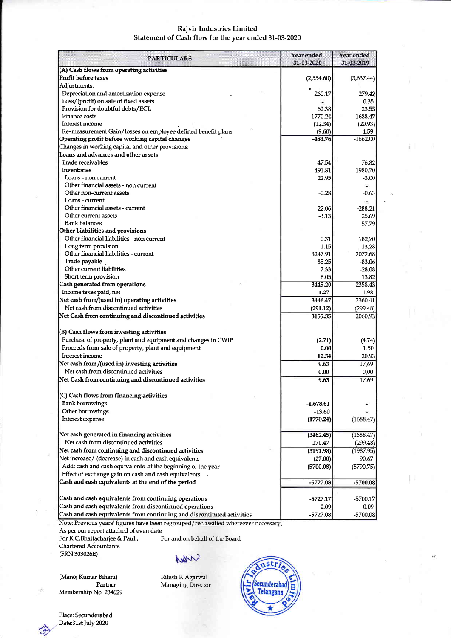#### Rajvir lndustries Limited Statement of Cash flow for the year ended 3l-03-2020

| (2,554.60)<br>(3,637.44)<br>Adjustments:<br>Depreciation and amortization expense<br>279.42<br>260.17<br>Loss/(profit) on sale of fixed assets<br>0.35<br>Provision for doubtful debts/ECL<br>62.38<br>23.55<br>1770.24<br>1688.47<br>Finance costs<br>Interest income<br>(12.34)<br>(20.93)<br>Re-measurement Gain/losses on employee defined benefit plans<br>(9.60)<br>4.59<br>Operating profit before working capital changes<br>-483.76<br>$-1662.00$<br>Changes in working capital and other provisions:<br>Loans and advances and other assets<br><b>Trade receivables</b><br>47.54<br>76.82<br>Inventories<br>491.81<br>Loans - non current<br>22.95<br>$-3.00$<br>Other financial assets - non current<br>Other non-current assets<br>$-0.28$<br>$-0.63$<br>Loans - current<br>Other financial assets - current<br>22.06<br>$-288.21$<br>Other current assets<br>$-3.13$<br>25.69<br><b>Bank balances</b><br>57.79<br>Other Liabilities and provisions<br>Other financial liabilities - non current<br>0.31<br>Long term provision<br>1.15<br>13,28<br>Other financial liabilities - current<br>3247.91<br>2072.68<br>Trade payable<br>$-83.06$<br>85.25<br>Other current liabilities<br>7.33<br>$-28.08$<br>Short term provision<br>6.05<br>13.82<br>Cash generated from operations<br>2358.43<br>3445.20<br>Income taxes paid, net<br>1.27<br>1.98<br>Net cash from/(used in) operating activities<br>2360.41<br>3446.47<br>Net cash from discontinued activities<br>(291.12)<br>(299.48)<br>3155.35<br>2060.93<br>(B) Cash flows from investing activities<br>Purchase of property, plant and equipment and changes in CWIP<br>(2.71)<br>(4.74)<br>Proceeds from sale of property, plant and equipment<br>0.00<br>1.50<br>Interest income<br>20.93<br>12.34<br>Net cash from/(used in) investing activities<br>9.63<br>17.69<br>Net cash from discontinued activities<br>0.00<br>0.00<br>Net Cash from continuing and discontinued activities<br>9.63<br>17.69<br>(C) Cash flows from financing activities<br><b>Bank borrowings</b><br>$-1,678.61$<br>Other borrowings<br>$-13.60$<br>Interest expense<br>(1770.24)<br>(1688.47)<br>Net cash generated in financing activities<br>(3462.45)<br>(1688.47)<br>Net cash from discontinued activities<br>270.47<br>(299.48)<br>Net cash from continuing and discontinued activities<br>(1987.95)<br>(3191.98)<br>Net increase/ (decrease) in cash and cash equivalents<br>(27.00)<br>90.67<br>Add: cash and cash equivalents at the beginning of the year<br>(5790.75)<br>(5700.08)<br>Effect of exchange gain on cash and cash equivalents<br>Cash and cash equivalents at the end of the period<br>$-5727.08$<br>-5700.08<br>Cash and cash equivalents from continuing operations<br>-5727.17<br>-5700.17<br>Cash and cash equivalents from discontinued operations<br>0.09<br>0.09<br>Cash and cash equivalents from continuing and discontinued activities<br>-5727.08<br>-5700.08 | <b>PARTICULARS</b>                                   | Year ended<br>31-03-2020 | Year ended<br>31-03-2019 |
|-------------------------------------------------------------------------------------------------------------------------------------------------------------------------------------------------------------------------------------------------------------------------------------------------------------------------------------------------------------------------------------------------------------------------------------------------------------------------------------------------------------------------------------------------------------------------------------------------------------------------------------------------------------------------------------------------------------------------------------------------------------------------------------------------------------------------------------------------------------------------------------------------------------------------------------------------------------------------------------------------------------------------------------------------------------------------------------------------------------------------------------------------------------------------------------------------------------------------------------------------------------------------------------------------------------------------------------------------------------------------------------------------------------------------------------------------------------------------------------------------------------------------------------------------------------------------------------------------------------------------------------------------------------------------------------------------------------------------------------------------------------------------------------------------------------------------------------------------------------------------------------------------------------------------------------------------------------------------------------------------------------------------------------------------------------------------------------------------------------------------------------------------------------------------------------------------------------------------------------------------------------------------------------------------------------------------------------------------------------------------------------------------------------------------------------------------------------------------------------------------------------------------------------------------------------------------------------------------------------------------------------------------------------------------------------------------------------------------------------------------------------------------------------------------------------------------------------------------------------------------------------------------------------------------------------------------|------------------------------------------------------|--------------------------|--------------------------|
|                                                                                                                                                                                                                                                                                                                                                                                                                                                                                                                                                                                                                                                                                                                                                                                                                                                                                                                                                                                                                                                                                                                                                                                                                                                                                                                                                                                                                                                                                                                                                                                                                                                                                                                                                                                                                                                                                                                                                                                                                                                                                                                                                                                                                                                                                                                                                                                                                                                                                                                                                                                                                                                                                                                                                                                                                                                                                                                                                 | (A) Cash flows from operating activities             |                          |                          |
|                                                                                                                                                                                                                                                                                                                                                                                                                                                                                                                                                                                                                                                                                                                                                                                                                                                                                                                                                                                                                                                                                                                                                                                                                                                                                                                                                                                                                                                                                                                                                                                                                                                                                                                                                                                                                                                                                                                                                                                                                                                                                                                                                                                                                                                                                                                                                                                                                                                                                                                                                                                                                                                                                                                                                                                                                                                                                                                                                 | Profit before taxes                                  |                          |                          |
|                                                                                                                                                                                                                                                                                                                                                                                                                                                                                                                                                                                                                                                                                                                                                                                                                                                                                                                                                                                                                                                                                                                                                                                                                                                                                                                                                                                                                                                                                                                                                                                                                                                                                                                                                                                                                                                                                                                                                                                                                                                                                                                                                                                                                                                                                                                                                                                                                                                                                                                                                                                                                                                                                                                                                                                                                                                                                                                                                 |                                                      |                          |                          |
|                                                                                                                                                                                                                                                                                                                                                                                                                                                                                                                                                                                                                                                                                                                                                                                                                                                                                                                                                                                                                                                                                                                                                                                                                                                                                                                                                                                                                                                                                                                                                                                                                                                                                                                                                                                                                                                                                                                                                                                                                                                                                                                                                                                                                                                                                                                                                                                                                                                                                                                                                                                                                                                                                                                                                                                                                                                                                                                                                 |                                                      |                          |                          |
|                                                                                                                                                                                                                                                                                                                                                                                                                                                                                                                                                                                                                                                                                                                                                                                                                                                                                                                                                                                                                                                                                                                                                                                                                                                                                                                                                                                                                                                                                                                                                                                                                                                                                                                                                                                                                                                                                                                                                                                                                                                                                                                                                                                                                                                                                                                                                                                                                                                                                                                                                                                                                                                                                                                                                                                                                                                                                                                                                 |                                                      |                          |                          |
|                                                                                                                                                                                                                                                                                                                                                                                                                                                                                                                                                                                                                                                                                                                                                                                                                                                                                                                                                                                                                                                                                                                                                                                                                                                                                                                                                                                                                                                                                                                                                                                                                                                                                                                                                                                                                                                                                                                                                                                                                                                                                                                                                                                                                                                                                                                                                                                                                                                                                                                                                                                                                                                                                                                                                                                                                                                                                                                                                 |                                                      |                          |                          |
|                                                                                                                                                                                                                                                                                                                                                                                                                                                                                                                                                                                                                                                                                                                                                                                                                                                                                                                                                                                                                                                                                                                                                                                                                                                                                                                                                                                                                                                                                                                                                                                                                                                                                                                                                                                                                                                                                                                                                                                                                                                                                                                                                                                                                                                                                                                                                                                                                                                                                                                                                                                                                                                                                                                                                                                                                                                                                                                                                 |                                                      |                          |                          |
|                                                                                                                                                                                                                                                                                                                                                                                                                                                                                                                                                                                                                                                                                                                                                                                                                                                                                                                                                                                                                                                                                                                                                                                                                                                                                                                                                                                                                                                                                                                                                                                                                                                                                                                                                                                                                                                                                                                                                                                                                                                                                                                                                                                                                                                                                                                                                                                                                                                                                                                                                                                                                                                                                                                                                                                                                                                                                                                                                 |                                                      |                          |                          |
|                                                                                                                                                                                                                                                                                                                                                                                                                                                                                                                                                                                                                                                                                                                                                                                                                                                                                                                                                                                                                                                                                                                                                                                                                                                                                                                                                                                                                                                                                                                                                                                                                                                                                                                                                                                                                                                                                                                                                                                                                                                                                                                                                                                                                                                                                                                                                                                                                                                                                                                                                                                                                                                                                                                                                                                                                                                                                                                                                 |                                                      |                          |                          |
|                                                                                                                                                                                                                                                                                                                                                                                                                                                                                                                                                                                                                                                                                                                                                                                                                                                                                                                                                                                                                                                                                                                                                                                                                                                                                                                                                                                                                                                                                                                                                                                                                                                                                                                                                                                                                                                                                                                                                                                                                                                                                                                                                                                                                                                                                                                                                                                                                                                                                                                                                                                                                                                                                                                                                                                                                                                                                                                                                 |                                                      |                          |                          |
|                                                                                                                                                                                                                                                                                                                                                                                                                                                                                                                                                                                                                                                                                                                                                                                                                                                                                                                                                                                                                                                                                                                                                                                                                                                                                                                                                                                                                                                                                                                                                                                                                                                                                                                                                                                                                                                                                                                                                                                                                                                                                                                                                                                                                                                                                                                                                                                                                                                                                                                                                                                                                                                                                                                                                                                                                                                                                                                                                 |                                                      |                          |                          |
|                                                                                                                                                                                                                                                                                                                                                                                                                                                                                                                                                                                                                                                                                                                                                                                                                                                                                                                                                                                                                                                                                                                                                                                                                                                                                                                                                                                                                                                                                                                                                                                                                                                                                                                                                                                                                                                                                                                                                                                                                                                                                                                                                                                                                                                                                                                                                                                                                                                                                                                                                                                                                                                                                                                                                                                                                                                                                                                                                 |                                                      |                          |                          |
|                                                                                                                                                                                                                                                                                                                                                                                                                                                                                                                                                                                                                                                                                                                                                                                                                                                                                                                                                                                                                                                                                                                                                                                                                                                                                                                                                                                                                                                                                                                                                                                                                                                                                                                                                                                                                                                                                                                                                                                                                                                                                                                                                                                                                                                                                                                                                                                                                                                                                                                                                                                                                                                                                                                                                                                                                                                                                                                                                 |                                                      |                          |                          |
|                                                                                                                                                                                                                                                                                                                                                                                                                                                                                                                                                                                                                                                                                                                                                                                                                                                                                                                                                                                                                                                                                                                                                                                                                                                                                                                                                                                                                                                                                                                                                                                                                                                                                                                                                                                                                                                                                                                                                                                                                                                                                                                                                                                                                                                                                                                                                                                                                                                                                                                                                                                                                                                                                                                                                                                                                                                                                                                                                 |                                                      |                          | 1980.70                  |
|                                                                                                                                                                                                                                                                                                                                                                                                                                                                                                                                                                                                                                                                                                                                                                                                                                                                                                                                                                                                                                                                                                                                                                                                                                                                                                                                                                                                                                                                                                                                                                                                                                                                                                                                                                                                                                                                                                                                                                                                                                                                                                                                                                                                                                                                                                                                                                                                                                                                                                                                                                                                                                                                                                                                                                                                                                                                                                                                                 |                                                      |                          |                          |
|                                                                                                                                                                                                                                                                                                                                                                                                                                                                                                                                                                                                                                                                                                                                                                                                                                                                                                                                                                                                                                                                                                                                                                                                                                                                                                                                                                                                                                                                                                                                                                                                                                                                                                                                                                                                                                                                                                                                                                                                                                                                                                                                                                                                                                                                                                                                                                                                                                                                                                                                                                                                                                                                                                                                                                                                                                                                                                                                                 |                                                      |                          |                          |
|                                                                                                                                                                                                                                                                                                                                                                                                                                                                                                                                                                                                                                                                                                                                                                                                                                                                                                                                                                                                                                                                                                                                                                                                                                                                                                                                                                                                                                                                                                                                                                                                                                                                                                                                                                                                                                                                                                                                                                                                                                                                                                                                                                                                                                                                                                                                                                                                                                                                                                                                                                                                                                                                                                                                                                                                                                                                                                                                                 |                                                      |                          |                          |
|                                                                                                                                                                                                                                                                                                                                                                                                                                                                                                                                                                                                                                                                                                                                                                                                                                                                                                                                                                                                                                                                                                                                                                                                                                                                                                                                                                                                                                                                                                                                                                                                                                                                                                                                                                                                                                                                                                                                                                                                                                                                                                                                                                                                                                                                                                                                                                                                                                                                                                                                                                                                                                                                                                                                                                                                                                                                                                                                                 |                                                      |                          |                          |
|                                                                                                                                                                                                                                                                                                                                                                                                                                                                                                                                                                                                                                                                                                                                                                                                                                                                                                                                                                                                                                                                                                                                                                                                                                                                                                                                                                                                                                                                                                                                                                                                                                                                                                                                                                                                                                                                                                                                                                                                                                                                                                                                                                                                                                                                                                                                                                                                                                                                                                                                                                                                                                                                                                                                                                                                                                                                                                                                                 |                                                      |                          |                          |
|                                                                                                                                                                                                                                                                                                                                                                                                                                                                                                                                                                                                                                                                                                                                                                                                                                                                                                                                                                                                                                                                                                                                                                                                                                                                                                                                                                                                                                                                                                                                                                                                                                                                                                                                                                                                                                                                                                                                                                                                                                                                                                                                                                                                                                                                                                                                                                                                                                                                                                                                                                                                                                                                                                                                                                                                                                                                                                                                                 |                                                      |                          |                          |
|                                                                                                                                                                                                                                                                                                                                                                                                                                                                                                                                                                                                                                                                                                                                                                                                                                                                                                                                                                                                                                                                                                                                                                                                                                                                                                                                                                                                                                                                                                                                                                                                                                                                                                                                                                                                                                                                                                                                                                                                                                                                                                                                                                                                                                                                                                                                                                                                                                                                                                                                                                                                                                                                                                                                                                                                                                                                                                                                                 |                                                      |                          |                          |
|                                                                                                                                                                                                                                                                                                                                                                                                                                                                                                                                                                                                                                                                                                                                                                                                                                                                                                                                                                                                                                                                                                                                                                                                                                                                                                                                                                                                                                                                                                                                                                                                                                                                                                                                                                                                                                                                                                                                                                                                                                                                                                                                                                                                                                                                                                                                                                                                                                                                                                                                                                                                                                                                                                                                                                                                                                                                                                                                                 |                                                      |                          |                          |
|                                                                                                                                                                                                                                                                                                                                                                                                                                                                                                                                                                                                                                                                                                                                                                                                                                                                                                                                                                                                                                                                                                                                                                                                                                                                                                                                                                                                                                                                                                                                                                                                                                                                                                                                                                                                                                                                                                                                                                                                                                                                                                                                                                                                                                                                                                                                                                                                                                                                                                                                                                                                                                                                                                                                                                                                                                                                                                                                                 |                                                      |                          | 182,70                   |
|                                                                                                                                                                                                                                                                                                                                                                                                                                                                                                                                                                                                                                                                                                                                                                                                                                                                                                                                                                                                                                                                                                                                                                                                                                                                                                                                                                                                                                                                                                                                                                                                                                                                                                                                                                                                                                                                                                                                                                                                                                                                                                                                                                                                                                                                                                                                                                                                                                                                                                                                                                                                                                                                                                                                                                                                                                                                                                                                                 |                                                      |                          |                          |
|                                                                                                                                                                                                                                                                                                                                                                                                                                                                                                                                                                                                                                                                                                                                                                                                                                                                                                                                                                                                                                                                                                                                                                                                                                                                                                                                                                                                                                                                                                                                                                                                                                                                                                                                                                                                                                                                                                                                                                                                                                                                                                                                                                                                                                                                                                                                                                                                                                                                                                                                                                                                                                                                                                                                                                                                                                                                                                                                                 |                                                      |                          |                          |
|                                                                                                                                                                                                                                                                                                                                                                                                                                                                                                                                                                                                                                                                                                                                                                                                                                                                                                                                                                                                                                                                                                                                                                                                                                                                                                                                                                                                                                                                                                                                                                                                                                                                                                                                                                                                                                                                                                                                                                                                                                                                                                                                                                                                                                                                                                                                                                                                                                                                                                                                                                                                                                                                                                                                                                                                                                                                                                                                                 |                                                      |                          |                          |
|                                                                                                                                                                                                                                                                                                                                                                                                                                                                                                                                                                                                                                                                                                                                                                                                                                                                                                                                                                                                                                                                                                                                                                                                                                                                                                                                                                                                                                                                                                                                                                                                                                                                                                                                                                                                                                                                                                                                                                                                                                                                                                                                                                                                                                                                                                                                                                                                                                                                                                                                                                                                                                                                                                                                                                                                                                                                                                                                                 |                                                      |                          |                          |
|                                                                                                                                                                                                                                                                                                                                                                                                                                                                                                                                                                                                                                                                                                                                                                                                                                                                                                                                                                                                                                                                                                                                                                                                                                                                                                                                                                                                                                                                                                                                                                                                                                                                                                                                                                                                                                                                                                                                                                                                                                                                                                                                                                                                                                                                                                                                                                                                                                                                                                                                                                                                                                                                                                                                                                                                                                                                                                                                                 |                                                      |                          |                          |
|                                                                                                                                                                                                                                                                                                                                                                                                                                                                                                                                                                                                                                                                                                                                                                                                                                                                                                                                                                                                                                                                                                                                                                                                                                                                                                                                                                                                                                                                                                                                                                                                                                                                                                                                                                                                                                                                                                                                                                                                                                                                                                                                                                                                                                                                                                                                                                                                                                                                                                                                                                                                                                                                                                                                                                                                                                                                                                                                                 |                                                      |                          |                          |
|                                                                                                                                                                                                                                                                                                                                                                                                                                                                                                                                                                                                                                                                                                                                                                                                                                                                                                                                                                                                                                                                                                                                                                                                                                                                                                                                                                                                                                                                                                                                                                                                                                                                                                                                                                                                                                                                                                                                                                                                                                                                                                                                                                                                                                                                                                                                                                                                                                                                                                                                                                                                                                                                                                                                                                                                                                                                                                                                                 |                                                      |                          |                          |
|                                                                                                                                                                                                                                                                                                                                                                                                                                                                                                                                                                                                                                                                                                                                                                                                                                                                                                                                                                                                                                                                                                                                                                                                                                                                                                                                                                                                                                                                                                                                                                                                                                                                                                                                                                                                                                                                                                                                                                                                                                                                                                                                                                                                                                                                                                                                                                                                                                                                                                                                                                                                                                                                                                                                                                                                                                                                                                                                                 |                                                      |                          |                          |
|                                                                                                                                                                                                                                                                                                                                                                                                                                                                                                                                                                                                                                                                                                                                                                                                                                                                                                                                                                                                                                                                                                                                                                                                                                                                                                                                                                                                                                                                                                                                                                                                                                                                                                                                                                                                                                                                                                                                                                                                                                                                                                                                                                                                                                                                                                                                                                                                                                                                                                                                                                                                                                                                                                                                                                                                                                                                                                                                                 |                                                      |                          |                          |
|                                                                                                                                                                                                                                                                                                                                                                                                                                                                                                                                                                                                                                                                                                                                                                                                                                                                                                                                                                                                                                                                                                                                                                                                                                                                                                                                                                                                                                                                                                                                                                                                                                                                                                                                                                                                                                                                                                                                                                                                                                                                                                                                                                                                                                                                                                                                                                                                                                                                                                                                                                                                                                                                                                                                                                                                                                                                                                                                                 | Net Cash from continuing and discontinued activities |                          |                          |
|                                                                                                                                                                                                                                                                                                                                                                                                                                                                                                                                                                                                                                                                                                                                                                                                                                                                                                                                                                                                                                                                                                                                                                                                                                                                                                                                                                                                                                                                                                                                                                                                                                                                                                                                                                                                                                                                                                                                                                                                                                                                                                                                                                                                                                                                                                                                                                                                                                                                                                                                                                                                                                                                                                                                                                                                                                                                                                                                                 |                                                      |                          |                          |
|                                                                                                                                                                                                                                                                                                                                                                                                                                                                                                                                                                                                                                                                                                                                                                                                                                                                                                                                                                                                                                                                                                                                                                                                                                                                                                                                                                                                                                                                                                                                                                                                                                                                                                                                                                                                                                                                                                                                                                                                                                                                                                                                                                                                                                                                                                                                                                                                                                                                                                                                                                                                                                                                                                                                                                                                                                                                                                                                                 |                                                      |                          |                          |
|                                                                                                                                                                                                                                                                                                                                                                                                                                                                                                                                                                                                                                                                                                                                                                                                                                                                                                                                                                                                                                                                                                                                                                                                                                                                                                                                                                                                                                                                                                                                                                                                                                                                                                                                                                                                                                                                                                                                                                                                                                                                                                                                                                                                                                                                                                                                                                                                                                                                                                                                                                                                                                                                                                                                                                                                                                                                                                                                                 |                                                      |                          |                          |
|                                                                                                                                                                                                                                                                                                                                                                                                                                                                                                                                                                                                                                                                                                                                                                                                                                                                                                                                                                                                                                                                                                                                                                                                                                                                                                                                                                                                                                                                                                                                                                                                                                                                                                                                                                                                                                                                                                                                                                                                                                                                                                                                                                                                                                                                                                                                                                                                                                                                                                                                                                                                                                                                                                                                                                                                                                                                                                                                                 |                                                      |                          |                          |
|                                                                                                                                                                                                                                                                                                                                                                                                                                                                                                                                                                                                                                                                                                                                                                                                                                                                                                                                                                                                                                                                                                                                                                                                                                                                                                                                                                                                                                                                                                                                                                                                                                                                                                                                                                                                                                                                                                                                                                                                                                                                                                                                                                                                                                                                                                                                                                                                                                                                                                                                                                                                                                                                                                                                                                                                                                                                                                                                                 |                                                      |                          |                          |
|                                                                                                                                                                                                                                                                                                                                                                                                                                                                                                                                                                                                                                                                                                                                                                                                                                                                                                                                                                                                                                                                                                                                                                                                                                                                                                                                                                                                                                                                                                                                                                                                                                                                                                                                                                                                                                                                                                                                                                                                                                                                                                                                                                                                                                                                                                                                                                                                                                                                                                                                                                                                                                                                                                                                                                                                                                                                                                                                                 |                                                      |                          |                          |
|                                                                                                                                                                                                                                                                                                                                                                                                                                                                                                                                                                                                                                                                                                                                                                                                                                                                                                                                                                                                                                                                                                                                                                                                                                                                                                                                                                                                                                                                                                                                                                                                                                                                                                                                                                                                                                                                                                                                                                                                                                                                                                                                                                                                                                                                                                                                                                                                                                                                                                                                                                                                                                                                                                                                                                                                                                                                                                                                                 |                                                      |                          |                          |
|                                                                                                                                                                                                                                                                                                                                                                                                                                                                                                                                                                                                                                                                                                                                                                                                                                                                                                                                                                                                                                                                                                                                                                                                                                                                                                                                                                                                                                                                                                                                                                                                                                                                                                                                                                                                                                                                                                                                                                                                                                                                                                                                                                                                                                                                                                                                                                                                                                                                                                                                                                                                                                                                                                                                                                                                                                                                                                                                                 |                                                      |                          |                          |
|                                                                                                                                                                                                                                                                                                                                                                                                                                                                                                                                                                                                                                                                                                                                                                                                                                                                                                                                                                                                                                                                                                                                                                                                                                                                                                                                                                                                                                                                                                                                                                                                                                                                                                                                                                                                                                                                                                                                                                                                                                                                                                                                                                                                                                                                                                                                                                                                                                                                                                                                                                                                                                                                                                                                                                                                                                                                                                                                                 |                                                      |                          |                          |
|                                                                                                                                                                                                                                                                                                                                                                                                                                                                                                                                                                                                                                                                                                                                                                                                                                                                                                                                                                                                                                                                                                                                                                                                                                                                                                                                                                                                                                                                                                                                                                                                                                                                                                                                                                                                                                                                                                                                                                                                                                                                                                                                                                                                                                                                                                                                                                                                                                                                                                                                                                                                                                                                                                                                                                                                                                                                                                                                                 |                                                      |                          |                          |
|                                                                                                                                                                                                                                                                                                                                                                                                                                                                                                                                                                                                                                                                                                                                                                                                                                                                                                                                                                                                                                                                                                                                                                                                                                                                                                                                                                                                                                                                                                                                                                                                                                                                                                                                                                                                                                                                                                                                                                                                                                                                                                                                                                                                                                                                                                                                                                                                                                                                                                                                                                                                                                                                                                                                                                                                                                                                                                                                                 |                                                      |                          |                          |
|                                                                                                                                                                                                                                                                                                                                                                                                                                                                                                                                                                                                                                                                                                                                                                                                                                                                                                                                                                                                                                                                                                                                                                                                                                                                                                                                                                                                                                                                                                                                                                                                                                                                                                                                                                                                                                                                                                                                                                                                                                                                                                                                                                                                                                                                                                                                                                                                                                                                                                                                                                                                                                                                                                                                                                                                                                                                                                                                                 |                                                      |                          |                          |
|                                                                                                                                                                                                                                                                                                                                                                                                                                                                                                                                                                                                                                                                                                                                                                                                                                                                                                                                                                                                                                                                                                                                                                                                                                                                                                                                                                                                                                                                                                                                                                                                                                                                                                                                                                                                                                                                                                                                                                                                                                                                                                                                                                                                                                                                                                                                                                                                                                                                                                                                                                                                                                                                                                                                                                                                                                                                                                                                                 |                                                      |                          |                          |
|                                                                                                                                                                                                                                                                                                                                                                                                                                                                                                                                                                                                                                                                                                                                                                                                                                                                                                                                                                                                                                                                                                                                                                                                                                                                                                                                                                                                                                                                                                                                                                                                                                                                                                                                                                                                                                                                                                                                                                                                                                                                                                                                                                                                                                                                                                                                                                                                                                                                                                                                                                                                                                                                                                                                                                                                                                                                                                                                                 |                                                      |                          |                          |
|                                                                                                                                                                                                                                                                                                                                                                                                                                                                                                                                                                                                                                                                                                                                                                                                                                                                                                                                                                                                                                                                                                                                                                                                                                                                                                                                                                                                                                                                                                                                                                                                                                                                                                                                                                                                                                                                                                                                                                                                                                                                                                                                                                                                                                                                                                                                                                                                                                                                                                                                                                                                                                                                                                                                                                                                                                                                                                                                                 |                                                      |                          |                          |
|                                                                                                                                                                                                                                                                                                                                                                                                                                                                                                                                                                                                                                                                                                                                                                                                                                                                                                                                                                                                                                                                                                                                                                                                                                                                                                                                                                                                                                                                                                                                                                                                                                                                                                                                                                                                                                                                                                                                                                                                                                                                                                                                                                                                                                                                                                                                                                                                                                                                                                                                                                                                                                                                                                                                                                                                                                                                                                                                                 |                                                      |                          |                          |
|                                                                                                                                                                                                                                                                                                                                                                                                                                                                                                                                                                                                                                                                                                                                                                                                                                                                                                                                                                                                                                                                                                                                                                                                                                                                                                                                                                                                                                                                                                                                                                                                                                                                                                                                                                                                                                                                                                                                                                                                                                                                                                                                                                                                                                                                                                                                                                                                                                                                                                                                                                                                                                                                                                                                                                                                                                                                                                                                                 |                                                      |                          |                          |
|                                                                                                                                                                                                                                                                                                                                                                                                                                                                                                                                                                                                                                                                                                                                                                                                                                                                                                                                                                                                                                                                                                                                                                                                                                                                                                                                                                                                                                                                                                                                                                                                                                                                                                                                                                                                                                                                                                                                                                                                                                                                                                                                                                                                                                                                                                                                                                                                                                                                                                                                                                                                                                                                                                                                                                                                                                                                                                                                                 |                                                      |                          |                          |
|                                                                                                                                                                                                                                                                                                                                                                                                                                                                                                                                                                                                                                                                                                                                                                                                                                                                                                                                                                                                                                                                                                                                                                                                                                                                                                                                                                                                                                                                                                                                                                                                                                                                                                                                                                                                                                                                                                                                                                                                                                                                                                                                                                                                                                                                                                                                                                                                                                                                                                                                                                                                                                                                                                                                                                                                                                                                                                                                                 |                                                      |                          |                          |
|                                                                                                                                                                                                                                                                                                                                                                                                                                                                                                                                                                                                                                                                                                                                                                                                                                                                                                                                                                                                                                                                                                                                                                                                                                                                                                                                                                                                                                                                                                                                                                                                                                                                                                                                                                                                                                                                                                                                                                                                                                                                                                                                                                                                                                                                                                                                                                                                                                                                                                                                                                                                                                                                                                                                                                                                                                                                                                                                                 |                                                      |                          |                          |
|                                                                                                                                                                                                                                                                                                                                                                                                                                                                                                                                                                                                                                                                                                                                                                                                                                                                                                                                                                                                                                                                                                                                                                                                                                                                                                                                                                                                                                                                                                                                                                                                                                                                                                                                                                                                                                                                                                                                                                                                                                                                                                                                                                                                                                                                                                                                                                                                                                                                                                                                                                                                                                                                                                                                                                                                                                                                                                                                                 |                                                      |                          |                          |
|                                                                                                                                                                                                                                                                                                                                                                                                                                                                                                                                                                                                                                                                                                                                                                                                                                                                                                                                                                                                                                                                                                                                                                                                                                                                                                                                                                                                                                                                                                                                                                                                                                                                                                                                                                                                                                                                                                                                                                                                                                                                                                                                                                                                                                                                                                                                                                                                                                                                                                                                                                                                                                                                                                                                                                                                                                                                                                                                                 |                                                      |                          |                          |
|                                                                                                                                                                                                                                                                                                                                                                                                                                                                                                                                                                                                                                                                                                                                                                                                                                                                                                                                                                                                                                                                                                                                                                                                                                                                                                                                                                                                                                                                                                                                                                                                                                                                                                                                                                                                                                                                                                                                                                                                                                                                                                                                                                                                                                                                                                                                                                                                                                                                                                                                                                                                                                                                                                                                                                                                                                                                                                                                                 |                                                      |                          |                          |

Note: Previous years' figures have been regrouped/reclassified whereever necessary

For K.C.Bhattachariee & Paul., Chartered Accountants As per our report attached of even date

For and on behalf of the Board

(FRN303026E)

(Manoi Kumar Bihani) Partner Membership No.234629 Ritesh K Agarwal Managing Director

harr



Place: Secunderabad Date: 31st July 2020

 $\hat{\mathcal{D}}$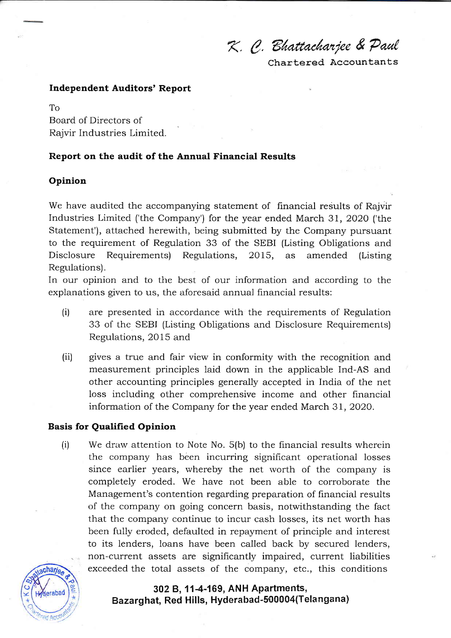K. C. Bhattacharjee & Paul

Chartered Aecountants

## Independent Auditors' Report

To Board of Directors of Rajvir Industries Limited.

# Report on the audit of the Annual Financial Results

# Opinion

We have audited the accompanying statement of financial results of Rajvir Industries Limited ('the Company') for the year ended March 31,2020 ('the Statement'), attached herewith, being submitted by the Company pursuant to the requirement of Regulation 33 of the SEBI (Listing Obligations and Disclosure Requirements) Regulations, 2015, as amended (Listing Regulations).

In our opinion and to the best of our information and according to the explanations given to us, the aforesaid annual financial results:

- $(i)$  are presented in accordance with the requirements of Regulation 33 of the SEBI (Listing Obligations and Disclosure Requirements) Regulations, 2015 and
- (ii) gives a true and fair view in conformity with the recognition and measurement principles laid down in the applicable Ind-AS and other accounting principles generally accepted in India of the net loss including other comprehensive income and other financial information of the Company for the year ended March 31, 2O2O.

## Basis for Qualified Opinion

(i) We draw attention to Note No. 5(b) to the financial results wherein the company has been incurring significant operational losses since earlier years, whereby the net worth of the company is completely eroded. We have not been able to corroborate the Management's contention regarding preparation of financial results of the company on going concern basis, notwithstanding the fact that the company continue to incur cash losses, its net worth has been fully eroded, defaulted in repayment of principle and interest to its lenders, loans have been called back by secured lenders, non-current assets are significantly impaired, current liabilities exceeded the total assets of the company, etc., this conditions



302 B, 11-4-169, ANH APartments, Bazarghat, Red Hills, Hyderabad-500004(Telangana)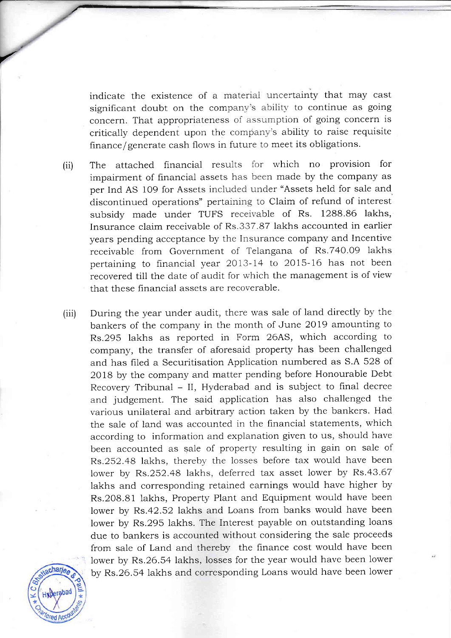indicate the existence of a material uncertainty that may cast significant doubt on the company's ability to continue as going concern. That appropriateness of assumption of going concern is critically dependent upon the company's ability to raise requisite finance/generate cash flows in future to meet its obligations.

- (ii) The attached financial results for which no provision for impairment of financial assets has been made by the company as per Ind AS 109 for Assets included under "Assets held for sale and discontinued operations" pertaining to Claim of refund of interest subsidy made under TUFS receivable of Rs. 1288.86 lakhs, Insurance claim receivable of Rs.337.87 lakhs accounted in earlier years pending acceptance by the Insurance company and Incentive receivable from Government of Telangana of Rs.740.09 lakhs pertaining to financial year 2013-14 to 2015-16 has not been recovered till the date of audit for which the management is of view that these financial assets are recoverable.
- During the year under audit, there was sale of land directly by the bankers of the company in the month of June 2019 amounting to Rs.295 lakhs as reported in Form 26AS, which according to company, the transfer of aforesaid property has been challenged and has filed a Securitisation Application numbered as S.A 528 of 2Ol8 by the company and matter pending before Honourable Debt Recovery Tribunal - II, Hyderabad and is subject to final decree and judgement. The said application has also challenged the various unilateral and arbitrary action taken by the bankers. Had the sale of land was accounted in the financial statements, which according to information and explanation given to us, should have been accounted as sale of property resulting in gain on sale of Rs.252.48 lakhs, thereby the losses before tax would have been lower by Rs.252.48 lakhs, deferred tax asset lower by Rs.43.67 lakhs and corresponding retained earnings would have higher by Rs.208.81 lakhs, Property Plant and Equipment would have been lower by Rs.42.52 lakhs and Loans from banks would have been lower by Rs.295 lakhs. The Interest payable on outstanding loans due to bankers is accounted without considering the sale proceeds from sale of Land and thereby the finance cost would have been lower by Rs.26.54 lakhs, losses for the year would have been lower by Rs.26.54 lakhs and corresponding Loans would have been lower (iii)



/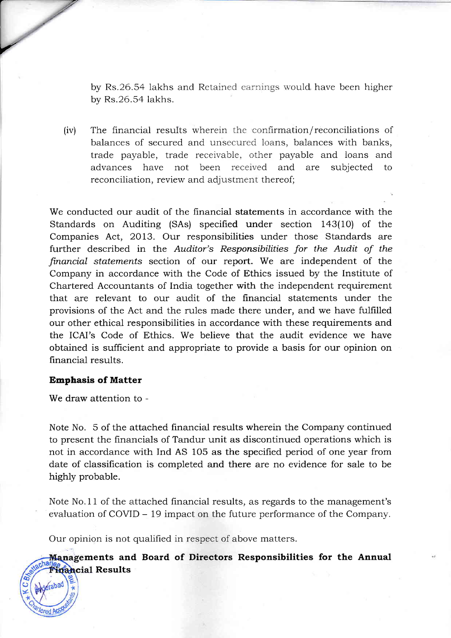by Rs.26.54 lakhs and Retained earnings would have been higher by Rs.26.54 lakhs.

The financial results wherein the confirmation/reconciliations of balances of secured and unsecured loans, balances with banks, trade payable, trade receivable, other payable and ioans and advances have not been received and are subjected to reconciliation, review and adjustment thereof; (iv)

We conducted our audit of the financial statements in accordance with the Standards on Auditing (SAs) specified under section 143(10) of the Companies Act, 2013. Our responsibilities under those Standards are further described in the Auditor's Responsibilities for the Audit of the financial statements section of our report. We are independent of the Company in accordance with the Code of Ethics issued by the Institute of Chartered Accountants of India together with the independent requirement that are relevant to our audit of the financial statements under the provisions of the Act and the rules made there under, and we have fulfilled our other ethical responsibilities in accordance with these requirements and the ICAI's Code of Ethics. We believe that the audit evidence we have obtained is sufficient and appropriate to provide a basis for our opinion on financial results.

#### Emphasis of Matter

I

7/ /'

We draw attention to -

Note No. 5 of the attached financial results wherein the Company continued to present the financials of Tandur unit as discontinued operations which is not in accordance with Ind AS 1O5 as the specified period of one year from date of classification is completed and there are no evidence for sale to be highly probable.

Note No.11 of the attached financial results, as regards to the management's evaluation of COVID - 19 impact on the future performance of the Company.

Our opinion is not qualified in respect of above matters.

ments and Board of Directors Responsibilities for the Annual **Financial Results**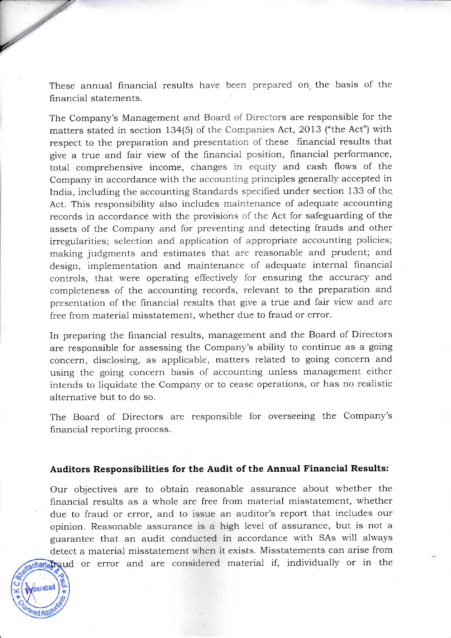These annual financial results have been prepared on the basis of the financial statements.

/

 $\overline{\phantom{a}}$ 

The Company's Management and Board of Directors are responsible for the matters stated in section 134(5) of the Companies Act, 2Ol3 ("the Act") with respect to the preparation and presentation of these financial results that give a true and fair view of the financial position, financial performance, total comprehensive income, changes in equity and cash flows of the Company in accordance with the accounting principles generally accepted in India, including the accounting Standards specified under section 133 of the Act. This responsibility also includes maintenance of adequate accounting records in accordance with the provisions of the Act for safeguarding of the assets of the Company and for preventing and detecting frauds and other irregularities; selection and application of appropriate accounting policies; making judgments and estimates that are reasonable and prudent; and design, implementation and maintenance of adequate internal financial controls, that were operating effectively for ensuring the accuracy and completeness of the accounting records, relevant to the preparation and presentation of the financial results that give a true and fair view and are free from material misstatement, whether due to fraud or error.

In preparing the financial results, management and the Board of Directors are responsible for assessing the Company's ability to continue as a going Concern, disclosing, as applicable, matters related to going concern and using the going concern basis of accounting unless management either intends to liquidate the Company or to cease operations, or has no realistic alternative but to do so.

The Board of Directors are responsible for overseeing the Company's financial reporting process.

## Auditors Responsibilities for the Audit of the Annual Financial Results:

Our objectives are to obtain reasonable assurance about whether the financial results as a whole are free from material misstatement, whether due to fraud or error, and to issue an auditor's report that includes our opinion. Reasonable assurance is a high level of assurance, but is not <sup>a</sup> guarantee that an audit conducted in accordance with SAs will always detect a material misstatement when it exists. Misstatements can arise from achariofraud or error and are considered material if, individually or in the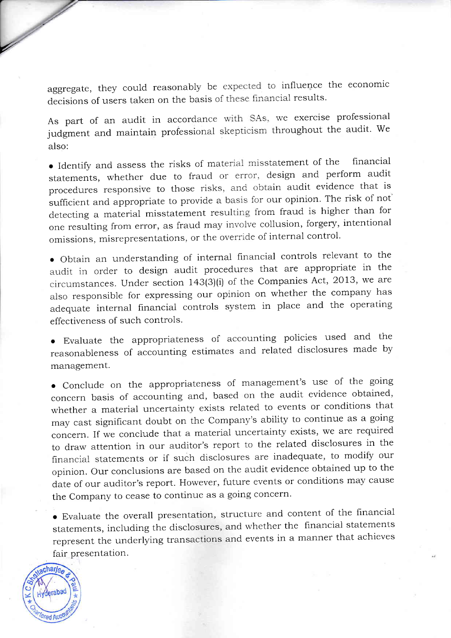aggregate, they could reasonably be expected to influence the economic decisions of users taken on the basis of these financial results.

As part of an audit in accordance with SAs, we exercise professional judgment and maintain professional skepticism throughout the audit. We also:

o Identify and assess the risks of material misstatement of the financial statements, whether due to fraud or error, design and perform audit procedures responsive to those risks, and obtain audit evidence that is sufficient and appropriate to provide a basis for our opinion. The risk of not detecting a material misstatement resulting from fraud is higher than for one resulting from error, as fraud may involve collusion, forgery, intentional omissions, misrepresentations, or the override of internal control.

o Obtain an understanding of internal financial controls relevant to the audit in order to design audit procedures that are appropriate in the circumstances. Under section 143(3)(i) of the companies Act, 2013, we are also responsible for expressing our opinion on whether the company has adequate internal financial controls system in place and the operating effectiveness of such controls.

o Evaluate the appropriateness of accounting policies used and the reasonableness of accounting estimates and related disclosures made by management.

o conclude on the appropriateness of management's use of the going concern basis of accounting and, based on the audit evidence obtained, whether a material uncertainty exists related to events or conditions that may cast significant doubt on the company's ability to continue as a going concern. If we conclude that a material uncertainty exists, we are required to draw attention in our auditor's report to the related disclosures in the financial statements or if such disclosures are inadequate, to modify our opinion. Our conclusions are based on the audit evidence obtained up to the date of our auditor's report. However, future events or conditions may cause the Company to cease to continue as a going concern.

o Evaluate the overall presentation, structure and content of the financial statements, including the disclosures, and whether the financial statements represent the underlying transactions and events in a manner that achieves fair presentation.



**video de la construcción de la construcción de la construcción de la construcción de la construcción de la co**